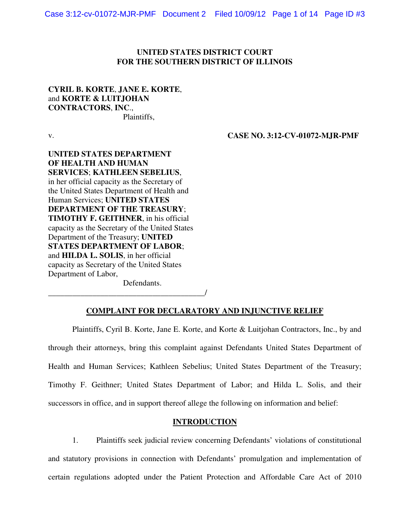### **UNITED STATES DISTRICT COURT FOR THE SOUTHERN DISTRICT OF ILLINOIS**

## **CYRIL B. KORTE**, **JANE E. KORTE**, and **KORTE & LUITJOHAN CONTRACTORS**, **INC**., Plaintiffs,

v.

 **CASE NO. 3:12-CV-01072-MJR-PMF** 

# **UNITED STATES DEPARTMENT OF HEALTH AND HUMAN SERVICES**; **KATHLEEN SEBELIUS**, in her official capacity as the Secretary of the United States Department of Health and Human Services; **UNITED STATES DEPARTMENT OF THE TREASURY**; **TIMOTHY F. GEITHNER**, in his official capacity as the Secretary of the United States Department of the Treasury; **UNITED STATES DEPARTMENT OF LABOR**; and **HILDA L. SOLIS**, in her official capacity as Secretary of the United States Department of Labor,

Defendants.

\_\_\_\_\_\_\_\_\_\_\_\_\_\_\_\_\_\_\_\_\_\_\_\_\_\_\_\_\_\_\_\_\_\_\_\_\_\_\_/

# **COMPLAINT FOR DECLARATORY AND INJUNCTIVE RELIEF**

 Plaintiffs, Cyril B. Korte, Jane E. Korte, and Korte & Luitjohan Contractors, Inc., by and through their attorneys, bring this complaint against Defendants United States Department of Health and Human Services; Kathleen Sebelius; United States Department of the Treasury; Timothy F. Geithner; United States Department of Labor; and Hilda L. Solis, and their successors in office, and in support thereof allege the following on information and belief:

## **INTRODUCTION**

1. Plaintiffs seek judicial review concerning Defendants' violations of constitutional and statutory provisions in connection with Defendants' promulgation and implementation of certain regulations adopted under the Patient Protection and Affordable Care Act of 2010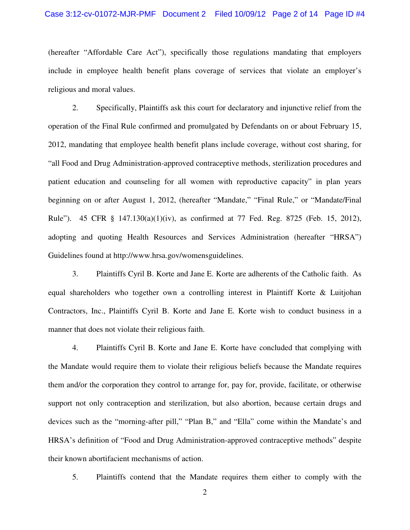(hereafter "Affordable Care Act"), specifically those regulations mandating that employers include in employee health benefit plans coverage of services that violate an employer's religious and moral values.

2. Specifically, Plaintiffs ask this court for declaratory and injunctive relief from the operation of the Final Rule confirmed and promulgated by Defendants on or about February 15, 2012, mandating that employee health benefit plans include coverage, without cost sharing, for "all Food and Drug Administration-approved contraceptive methods, sterilization procedures and patient education and counseling for all women with reproductive capacity" in plan years beginning on or after August 1, 2012, (hereafter "Mandate," "Final Rule," or "Mandate/Final Rule"). 45 CFR § 147.130(a)(1)(iv), as confirmed at 77 Fed. Reg. 8725 (Feb. 15, 2012), adopting and quoting Health Resources and Services Administration (hereafter "HRSA") Guidelines found at http://www.hrsa.gov/womensguidelines.

3. Plaintiffs Cyril B. Korte and Jane E. Korte are adherents of the Catholic faith. As equal shareholders who together own a controlling interest in Plaintiff Korte & Luitjohan Contractors, Inc., Plaintiffs Cyril B. Korte and Jane E. Korte wish to conduct business in a manner that does not violate their religious faith.

4. Plaintiffs Cyril B. Korte and Jane E. Korte have concluded that complying with the Mandate would require them to violate their religious beliefs because the Mandate requires them and/or the corporation they control to arrange for, pay for, provide, facilitate, or otherwise support not only contraception and sterilization, but also abortion, because certain drugs and devices such as the "morning-after pill," "Plan B," and "Ella" come within the Mandate's and HRSA's definition of "Food and Drug Administration-approved contraceptive methods" despite their known abortifacient mechanisms of action.

5. Plaintiffs contend that the Mandate requires them either to comply with the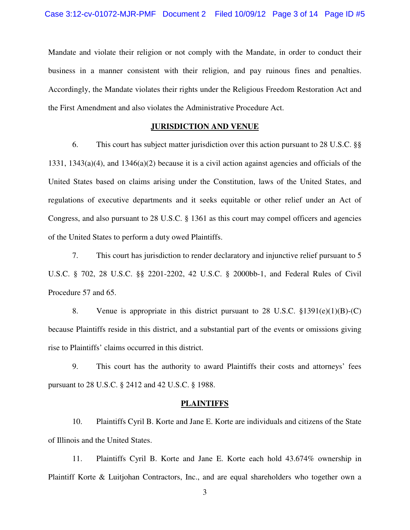Mandate and violate their religion or not comply with the Mandate, in order to conduct their business in a manner consistent with their religion, and pay ruinous fines and penalties. Accordingly, the Mandate violates their rights under the Religious Freedom Restoration Act and the First Amendment and also violates the Administrative Procedure Act.

# **JURISDICTION AND VENUE**

6. This court has subject matter jurisdiction over this action pursuant to 28 U.S.C. §§ 1331, 1343(a)(4), and 1346(a)(2) because it is a civil action against agencies and officials of the United States based on claims arising under the Constitution, laws of the United States, and regulations of executive departments and it seeks equitable or other relief under an Act of Congress, and also pursuant to 28 U.S.C. § 1361 as this court may compel officers and agencies of the United States to perform a duty owed Plaintiffs.

7. This court has jurisdiction to render declaratory and injunctive relief pursuant to 5 U.S.C. § 702, 28 U.S.C. §§ 2201-2202, 42 U.S.C. § 2000bb-1, and Federal Rules of Civil Procedure 57 and 65.

8. Venue is appropriate in this district pursuant to 28 U.S.C.  $\S 1391(e)(1)(B)-(C)$ because Plaintiffs reside in this district, and a substantial part of the events or omissions giving rise to Plaintiffs' claims occurred in this district.

9. This court has the authority to award Plaintiffs their costs and attorneys' fees pursuant to 28 U.S.C. § 2412 and 42 U.S.C. § 1988.

#### **PLAINTIFFS**

10. Plaintiffs Cyril B. Korte and Jane E. Korte are individuals and citizens of the State of Illinois and the United States.

11. Plaintiffs Cyril B. Korte and Jane E. Korte each hold 43.674% ownership in Plaintiff Korte & Luitjohan Contractors, Inc., and are equal shareholders who together own a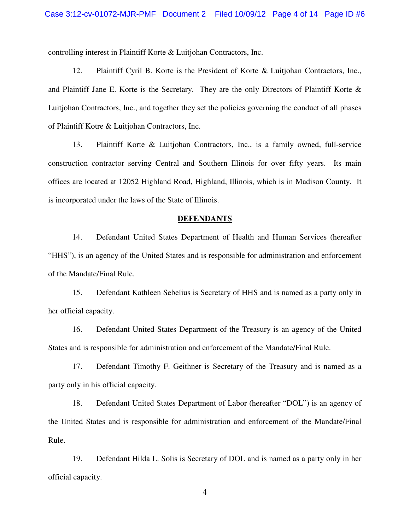controlling interest in Plaintiff Korte & Luitjohan Contractors, Inc.

12. Plaintiff Cyril B. Korte is the President of Korte & Luitjohan Contractors, Inc., and Plaintiff Jane E. Korte is the Secretary. They are the only Directors of Plaintiff Korte & Luitjohan Contractors, Inc., and together they set the policies governing the conduct of all phases of Plaintiff Kotre & Luitjohan Contractors, Inc.

13. Plaintiff Korte & Luitjohan Contractors, Inc., is a family owned, full-service construction contractor serving Central and Southern Illinois for over fifty years. Its main offices are located at 12052 Highland Road, Highland, Illinois, which is in Madison County. It is incorporated under the laws of the State of Illinois.

#### **DEFENDANTS**

14. Defendant United States Department of Health and Human Services (hereafter "HHS"), is an agency of the United States and is responsible for administration and enforcement of the Mandate/Final Rule.

15. Defendant Kathleen Sebelius is Secretary of HHS and is named as a party only in her official capacity.

16. Defendant United States Department of the Treasury is an agency of the United States and is responsible for administration and enforcement of the Mandate/Final Rule.

17. Defendant Timothy F. Geithner is Secretary of the Treasury and is named as a party only in his official capacity.

18. Defendant United States Department of Labor (hereafter "DOL") is an agency of the United States and is responsible for administration and enforcement of the Mandate/Final Rule.

19. Defendant Hilda L. Solis is Secretary of DOL and is named as a party only in her official capacity.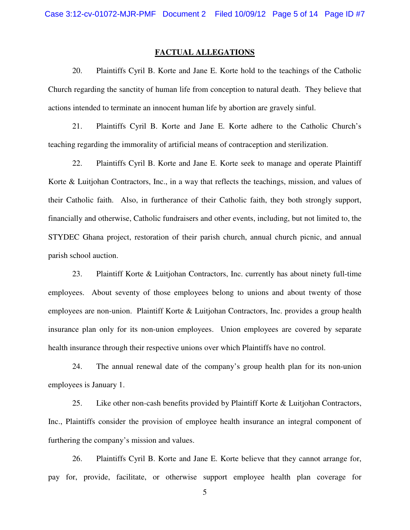#### **FACTUAL ALLEGATIONS**

20. Plaintiffs Cyril B. Korte and Jane E. Korte hold to the teachings of the Catholic Church regarding the sanctity of human life from conception to natural death. They believe that actions intended to terminate an innocent human life by abortion are gravely sinful.

21. Plaintiffs Cyril B. Korte and Jane E. Korte adhere to the Catholic Church's teaching regarding the immorality of artificial means of contraception and sterilization.

22. Plaintiffs Cyril B. Korte and Jane E. Korte seek to manage and operate Plaintiff Korte & Luitjohan Contractors, Inc., in a way that reflects the teachings, mission, and values of their Catholic faith. Also, in furtherance of their Catholic faith, they both strongly support, financially and otherwise, Catholic fundraisers and other events, including, but not limited to, the STYDEC Ghana project, restoration of their parish church, annual church picnic, and annual parish school auction.

23. Plaintiff Korte & Luitjohan Contractors, Inc. currently has about ninety full-time employees. About seventy of those employees belong to unions and about twenty of those employees are non-union. Plaintiff Korte & Luitjohan Contractors, Inc. provides a group health insurance plan only for its non-union employees. Union employees are covered by separate health insurance through their respective unions over which Plaintiffs have no control.

24. The annual renewal date of the company's group health plan for its non-union employees is January 1.

25. Like other non-cash benefits provided by Plaintiff Korte & Luitjohan Contractors, Inc., Plaintiffs consider the provision of employee health insurance an integral component of furthering the company's mission and values.

26. Plaintiffs Cyril B. Korte and Jane E. Korte believe that they cannot arrange for, pay for, provide, facilitate, or otherwise support employee health plan coverage for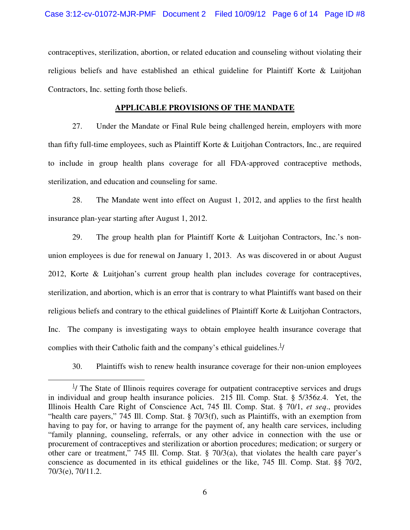contraceptives, sterilization, abortion, or related education and counseling without violating their religious beliefs and have established an ethical guideline for Plaintiff Korte & Luitjohan Contractors, Inc. setting forth those beliefs.

### **APPLICABLE PROVISIONS OF THE MANDATE**

27. Under the Mandate or Final Rule being challenged herein, employers with more than fifty full-time employees, such as Plaintiff Korte & Luitjohan Contractors, Inc., are required to include in group health plans coverage for all FDA-approved contraceptive methods, sterilization, and education and counseling for same.

28. The Mandate went into effect on August 1, 2012, and applies to the first health insurance plan-year starting after August 1, 2012.

29. The group health plan for Plaintiff Korte & Luitjohan Contractors, Inc.'s nonunion employees is due for renewal on January 1, 2013. As was discovered in or about August 2012, Korte & Luitjohan's current group health plan includes coverage for contraceptives, sterilization, and abortion, which is an error that is contrary to what Plaintiffs want based on their religious beliefs and contrary to the ethical guidelines of Plaintiff Korte & Luitjohan Contractors, Inc. The company is investigating ways to obtain employee health insurance coverage that complies with their Catholic faith and the company's ethical guidelines. $\frac{1}{1}$ 

30. Plaintiffs wish to renew health insurance coverage for their non-union employees

l

 $\frac{1}{1}$  The State of Illinois requires coverage for outpatient contraceptive services and drugs in individual and group health insurance policies. 215 Ill. Comp. Stat. § 5/356z.4. Yet, the Illinois Health Care Right of Conscience Act, 745 Ill. Comp. Stat. § 70/1, *et seq*., provides "health care payers," 745 Ill. Comp. Stat. § 70/3(f), such as Plaintiffs, with an exemption from having to pay for, or having to arrange for the payment of, any health care services, including "family planning, counseling, referrals, or any other advice in connection with the use or procurement of contraceptives and sterilization or abortion procedures; medication; or surgery or other care or treatment," 745 Ill. Comp. Stat. § 70/3(a), that violates the health care payer's conscience as documented in its ethical guidelines or the like, 745 Ill. Comp. Stat. §§ 70/2, 70/3(e), 70/11.2.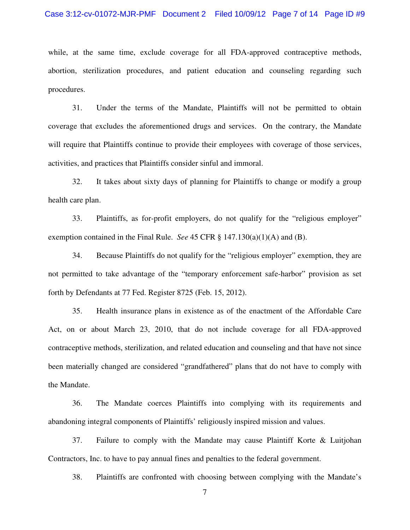#### Case 3:12-cv-01072-MJR-PMF Document 2 Filed 10/09/12 Page 7 of 14 Page ID #9

while, at the same time, exclude coverage for all FDA-approved contraceptive methods, abortion, sterilization procedures, and patient education and counseling regarding such procedures.

31. Under the terms of the Mandate, Plaintiffs will not be permitted to obtain coverage that excludes the aforementioned drugs and services. On the contrary, the Mandate will require that Plaintiffs continue to provide their employees with coverage of those services, activities, and practices that Plaintiffs consider sinful and immoral.

32. It takes about sixty days of planning for Plaintiffs to change or modify a group health care plan.

33. Plaintiffs, as for-profit employers, do not qualify for the "religious employer" exemption contained in the Final Rule. *See* 45 CFR § 147.130(a)(1)(A) and (B).

34. Because Plaintiffs do not qualify for the "religious employer" exemption, they are not permitted to take advantage of the "temporary enforcement safe-harbor" provision as set forth by Defendants at 77 Fed. Register 8725 (Feb. 15, 2012).

35. Health insurance plans in existence as of the enactment of the Affordable Care Act, on or about March 23, 2010, that do not include coverage for all FDA-approved contraceptive methods, sterilization, and related education and counseling and that have not since been materially changed are considered "grandfathered" plans that do not have to comply with the Mandate.

36. The Mandate coerces Plaintiffs into complying with its requirements and abandoning integral components of Plaintiffs' religiously inspired mission and values.

37. Failure to comply with the Mandate may cause Plaintiff Korte & Luitjohan Contractors, Inc. to have to pay annual fines and penalties to the federal government.

38. Plaintiffs are confronted with choosing between complying with the Mandate's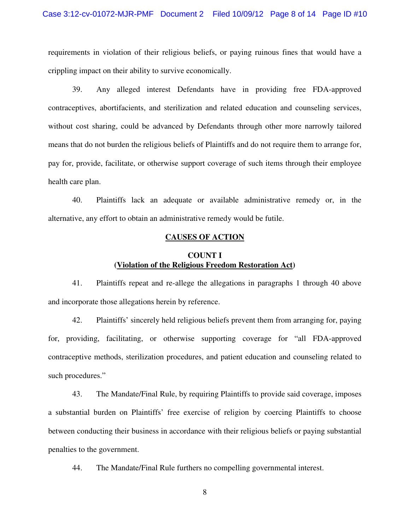requirements in violation of their religious beliefs, or paying ruinous fines that would have a crippling impact on their ability to survive economically.

39. Any alleged interest Defendants have in providing free FDA-approved contraceptives, abortifacients, and sterilization and related education and counseling services, without cost sharing, could be advanced by Defendants through other more narrowly tailored means that do not burden the religious beliefs of Plaintiffs and do not require them to arrange for, pay for, provide, facilitate, or otherwise support coverage of such items through their employee health care plan.

40. Plaintiffs lack an adequate or available administrative remedy or, in the alternative, any effort to obtain an administrative remedy would be futile.

#### **CAUSES OF ACTION**

## **COUNT I (Violation of the Religious Freedom Restoration Act)**

41. Plaintiffs repeat and re-allege the allegations in paragraphs 1 through 40 above and incorporate those allegations herein by reference.

42. Plaintiffs' sincerely held religious beliefs prevent them from arranging for, paying for, providing, facilitating, or otherwise supporting coverage for "all FDA-approved contraceptive methods, sterilization procedures, and patient education and counseling related to such procedures."

43. The Mandate/Final Rule, by requiring Plaintiffs to provide said coverage, imposes a substantial burden on Plaintiffs' free exercise of religion by coercing Plaintiffs to choose between conducting their business in accordance with their religious beliefs or paying substantial penalties to the government.

44. The Mandate/Final Rule furthers no compelling governmental interest.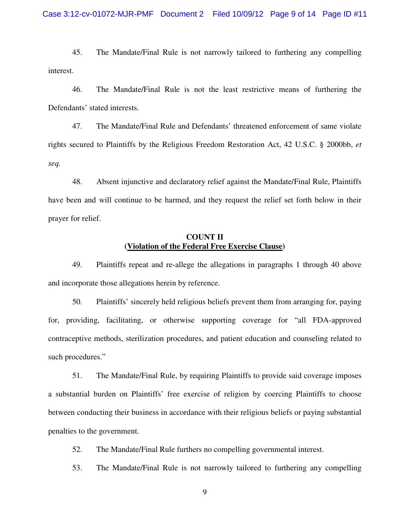45. The Mandate/Final Rule is not narrowly tailored to furthering any compelling interest.

46. The Mandate/Final Rule is not the least restrictive means of furthering the Defendants' stated interests.

47. The Mandate/Final Rule and Defendants' threatened enforcement of same violate rights secured to Plaintiffs by the Religious Freedom Restoration Act, 42 U.S.C. § 2000bb, *et seq.*

48. Absent injunctive and declaratory relief against the Mandate/Final Rule, Plaintiffs have been and will continue to be harmed, and they request the relief set forth below in their prayer for relief.

## **COUNT II (Violation of the Federal Free Exercise Clause)**

49. Plaintiffs repeat and re-allege the allegations in paragraphs 1 through 40 above and incorporate those allegations herein by reference.

50. Plaintiffs' sincerely held religious beliefs prevent them from arranging for, paying for, providing, facilitating, or otherwise supporting coverage for "all FDA-approved contraceptive methods, sterilization procedures, and patient education and counseling related to such procedures."

51. The Mandate/Final Rule, by requiring Plaintiffs to provide said coverage imposes a substantial burden on Plaintiffs' free exercise of religion by coercing Plaintiffs to choose between conducting their business in accordance with their religious beliefs or paying substantial penalties to the government.

52. The Mandate/Final Rule furthers no compelling governmental interest.

53. The Mandate/Final Rule is not narrowly tailored to furthering any compelling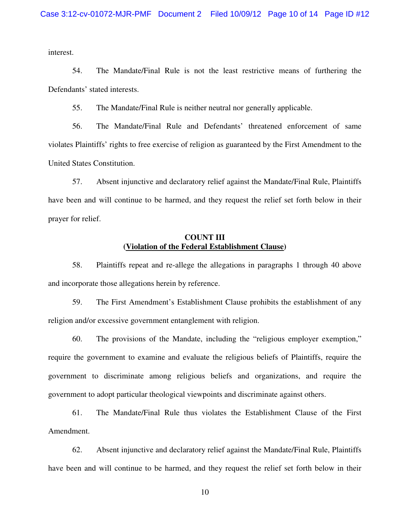interest.

54. The Mandate/Final Rule is not the least restrictive means of furthering the Defendants' stated interests.

55. The Mandate/Final Rule is neither neutral nor generally applicable.

56. The Mandate/Final Rule and Defendants' threatened enforcement of same violates Plaintiffs' rights to free exercise of religion as guaranteed by the First Amendment to the United States Constitution.

57. Absent injunctive and declaratory relief against the Mandate/Final Rule, Plaintiffs have been and will continue to be harmed, and they request the relief set forth below in their prayer for relief.

#### **COUNT III (Violation of the Federal Establishment Clause)**

58. Plaintiffs repeat and re-allege the allegations in paragraphs 1 through 40 above and incorporate those allegations herein by reference.

59. The First Amendment's Establishment Clause prohibits the establishment of any religion and/or excessive government entanglement with religion.

60. The provisions of the Mandate, including the "religious employer exemption," require the government to examine and evaluate the religious beliefs of Plaintiffs, require the government to discriminate among religious beliefs and organizations, and require the government to adopt particular theological viewpoints and discriminate against others.

61. The Mandate/Final Rule thus violates the Establishment Clause of the First Amendment.

62. Absent injunctive and declaratory relief against the Mandate/Final Rule, Plaintiffs have been and will continue to be harmed, and they request the relief set forth below in their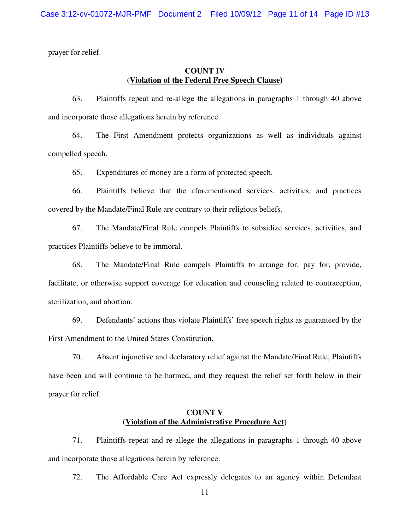prayer for relief.

# **COUNT IV (Violation of the Federal Free Speech Clause)**

63. Plaintiffs repeat and re-allege the allegations in paragraphs 1 through 40 above and incorporate those allegations herein by reference.

64. The First Amendment protects organizations as well as individuals against compelled speech.

65. Expenditures of money are a form of protected speech.

66. Plaintiffs believe that the aforementioned services, activities, and practices covered by the Mandate/Final Rule are contrary to their religious beliefs.

67. The Mandate/Final Rule compels Plaintiffs to subsidize services, activities, and practices Plaintiffs believe to be immoral.

68. The Mandate/Final Rule compels Plaintiffs to arrange for, pay for, provide, facilitate, or otherwise support coverage for education and counseling related to contraception, sterilization, and abortion.

69. Defendants' actions thus violate Plaintiffs' free speech rights as guaranteed by the First Amendment to the United States Constitution.

70. Absent injunctive and declaratory relief against the Mandate/Final Rule, Plaintiffs have been and will continue to be harmed, and they request the relief set forth below in their prayer for relief.

# **COUNT V (Violation of the Administrative Procedure Act)**

71. Plaintiffs repeat and re-allege the allegations in paragraphs 1 through 40 above and incorporate those allegations herein by reference.

72. The Affordable Care Act expressly delegates to an agency within Defendant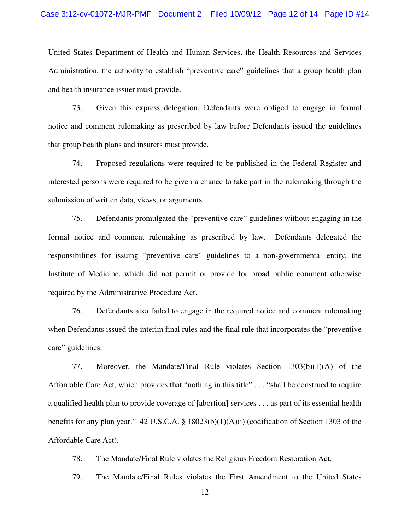United States Department of Health and Human Services, the Health Resources and Services Administration, the authority to establish "preventive care" guidelines that a group health plan and health insurance issuer must provide.

73. Given this express delegation, Defendants were obliged to engage in formal notice and comment rulemaking as prescribed by law before Defendants issued the guidelines that group health plans and insurers must provide.

74. Proposed regulations were required to be published in the Federal Register and interested persons were required to be given a chance to take part in the rulemaking through the submission of written data, views, or arguments.

75. Defendants promulgated the "preventive care" guidelines without engaging in the formal notice and comment rulemaking as prescribed by law. Defendants delegated the responsibilities for issuing "preventive care" guidelines to a non-governmental entity, the Institute of Medicine, which did not permit or provide for broad public comment otherwise required by the Administrative Procedure Act.

76. Defendants also failed to engage in the required notice and comment rulemaking when Defendants issued the interim final rules and the final rule that incorporates the "preventive care" guidelines.

77. Moreover, the Mandate/Final Rule violates Section 1303(b)(1)(A) of the Affordable Care Act, which provides that "nothing in this title" . . . "shall be construed to require a qualified health plan to provide coverage of [abortion] services . . . as part of its essential health benefits for any plan year." 42 U.S.C.A. § 18023(b)(1)(A)(i) (codification of Section 1303 of the Affordable Care Act).

78. The Mandate/Final Rule violates the Religious Freedom Restoration Act.

79. The Mandate/Final Rules violates the First Amendment to the United States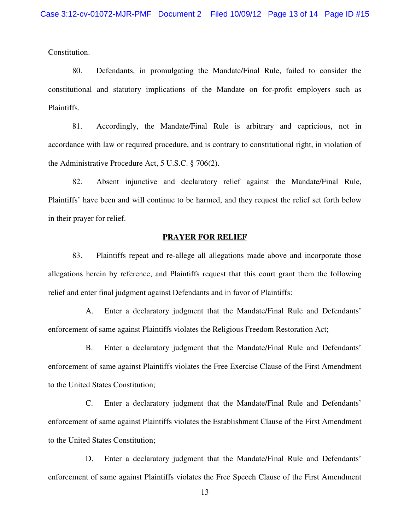Constitution.

80. Defendants, in promulgating the Mandate/Final Rule, failed to consider the constitutional and statutory implications of the Mandate on for-profit employers such as Plaintiffs.

81. Accordingly, the Mandate/Final Rule is arbitrary and capricious, not in accordance with law or required procedure, and is contrary to constitutional right, in violation of the Administrative Procedure Act, 5 U.S.C. § 706(2).

82. Absent injunctive and declaratory relief against the Mandate/Final Rule, Plaintiffs' have been and will continue to be harmed, and they request the relief set forth below in their prayer for relief.

#### **PRAYER FOR RELIEF**

83. Plaintiffs repeat and re-allege all allegations made above and incorporate those allegations herein by reference, and Plaintiffs request that this court grant them the following relief and enter final judgment against Defendants and in favor of Plaintiffs:

 A. Enter a declaratory judgment that the Mandate/Final Rule and Defendants' enforcement of same against Plaintiffs violates the Religious Freedom Restoration Act;

 B. Enter a declaratory judgment that the Mandate/Final Rule and Defendants' enforcement of same against Plaintiffs violates the Free Exercise Clause of the First Amendment to the United States Constitution;

 C. Enter a declaratory judgment that the Mandate/Final Rule and Defendants' enforcement of same against Plaintiffs violates the Establishment Clause of the First Amendment to the United States Constitution;

 D. Enter a declaratory judgment that the Mandate/Final Rule and Defendants' enforcement of same against Plaintiffs violates the Free Speech Clause of the First Amendment